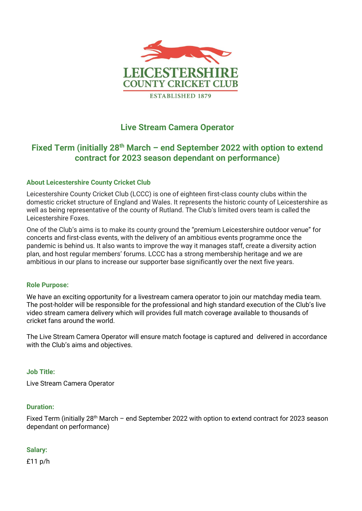

# **Live Stream Camera Operator**

# Fixed Term (initially 28<sup>th</sup> March – end September 2022 with option to extend **contract for 2023 season dependant on performance)**

# **About Leicestershire County Cricket Club**

Leicestershire County Cricket Club (LCCC) is one of eighteen first-class county clubs within the domestic cricket structure of England and Wales. It represents the historic county of Leicestershire as well as being representative of the county of Rutland. The Club's limited overs team is called the Leicestershire Foxes.

One of the Club's aims is to make its county ground the "premium Leicestershire outdoor venue" for concerts and first-class events, with the delivery of an ambitious events programme once the pandemic is behind us. It also wants to improve the way it manages staff, create a diversity action plan, and host regular members' forums. LCCC has a strong membership heritage and we are ambitious in our plans to increase our supporter base significantly over the next five years.

#### **Role Purpose:**

We have an exciting opportunity for a livestream camera operator to join our matchday media team. The post-holder will be responsible for the professional and high standard execution of the Club's live video stream camera delivery which will provides full match coverage available to thousands of cricket fans around the world.

The Live Stream Camera Operator will ensure match footage is captured and delivered in accordance with the Club's aims and objectives.

#### **Job Title:**

Live Stream Camera Operator

#### **Duration:**

Fixed Term (initially 28<sup>th</sup> March - end September 2022 with option to extend contract for 2023 season dependant on performance)

#### **Salary:**

£11 p/h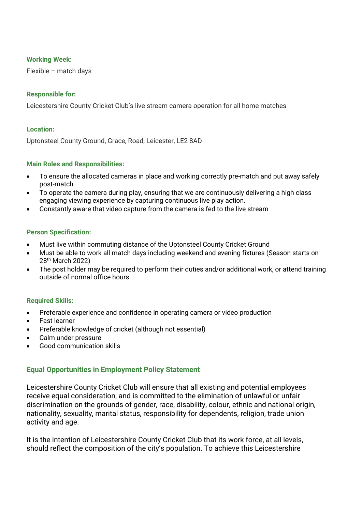### **Working Week:**

Flexible – match days

## **Responsible for:**

Leicestershire County Cricket Club's live stream camera operation for all home matches

#### **Location:**

Uptonsteel County Ground, Grace, Road, Leicester, LE2 8AD

### **Main Roles and Responsibilities:**

- To ensure the allocated cameras in place and working correctly pre-match and put away safely post-match
- To operate the camera during play, ensuring that we are continuously delivering a high class engaging viewing experience by capturing continuous live play action.
- Constantly aware that video capture from the camera is fed to the live stream

### **Person Specification:**

- Must live within commuting distance of the Uptonsteel County Cricket Ground
- Must be able to work all match days including weekend and evening fixtures (Season starts on 28<sup>th</sup> March 2022)
- The post holder may be required to perform their duties and/or additional work, or attend training outside of normal office hours

# **Required Skills:**

- Preferable experience and confidence in operating camera or video production
- Fast learner
- Preferable knowledge of cricket (although not essential)
- Calm under pressure
- Good communication skills

# **Equal Opportunities in Employment Policy Statement**

Leicestershire County Cricket Club will ensure that all existing and potential employees receive equal consideration, and is committed to the elimination of unlawful or unfair discrimination on the grounds of gender, race, disability, colour, ethnic and national origin, nationality, sexuality, marital status, responsibility for dependents, religion, trade union activity and age.

It is the intention of Leicestershire County Cricket Club that its work force, at all levels, should reflect the composition of the city's population. To achieve this Leicestershire